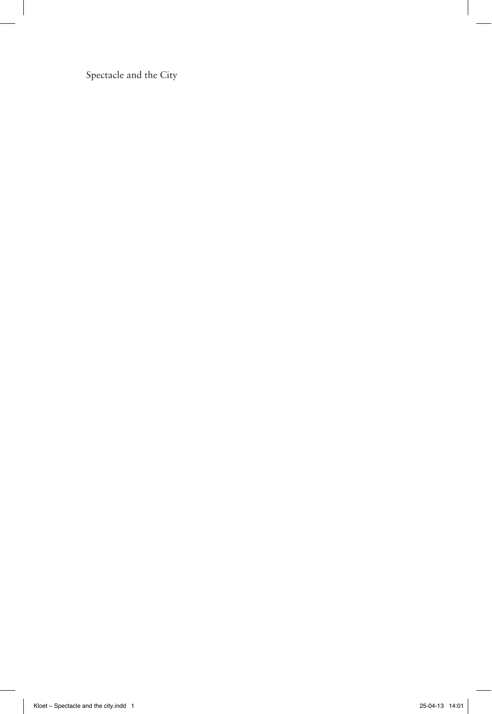Spectacle and the City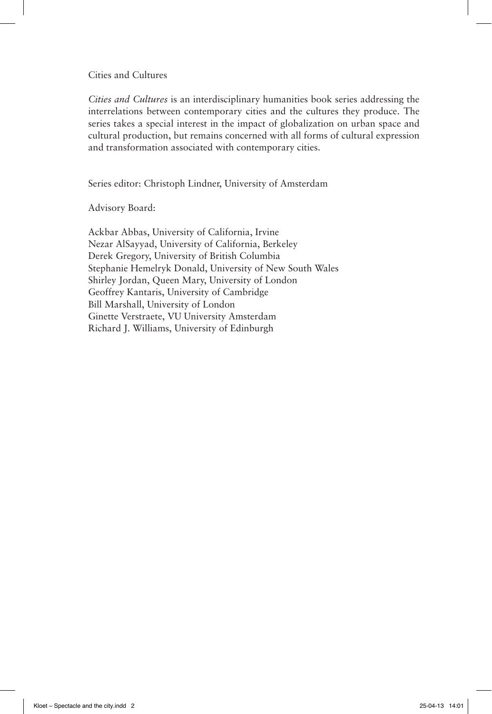### Cities and Cultures

*Cities and Cultures* is an interdisciplinary humanities book series addressing the interrelations between contemporary cities and the cultures they produce. The series takes a special interest in the impact of globalization on urban space and cultural production, but remains concerned with all forms of cultural expression and transformation associated with contemporary cities.

Series editor: Christoph Lindner, University of Amsterdam

Advisory Board:

Ackbar Abbas, University of California, Irvine Nezar AlSayyad, University of California, Berkeley Derek Gregory, University of British Columbia Stephanie Hemelryk Donald, University of New South Wales Shirley Jordan, Queen Mary, University of London Geoffrey Kantaris, University of Cambridge Bill Marshall, University of London Ginette Verstraete, VU University Amsterdam Richard J. Williams, University of Edinburgh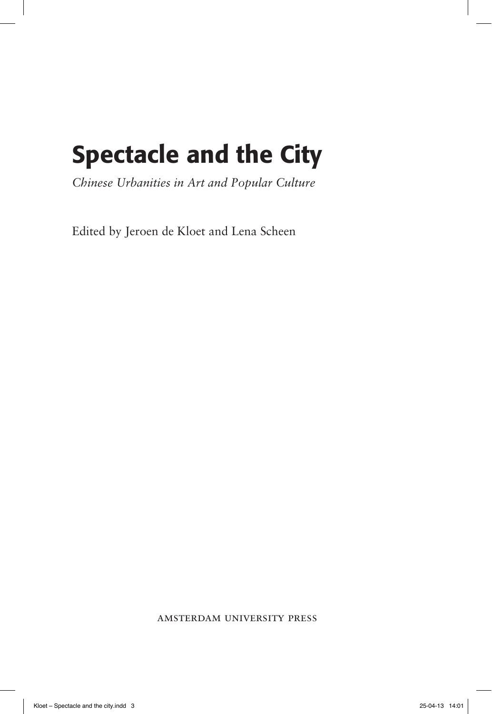# Spectacle and the City

*Chinese Urbanities in Art and Popular Culture* 

Edited by Jeroen de Kloet and Lena Scheen

# amsterdam university press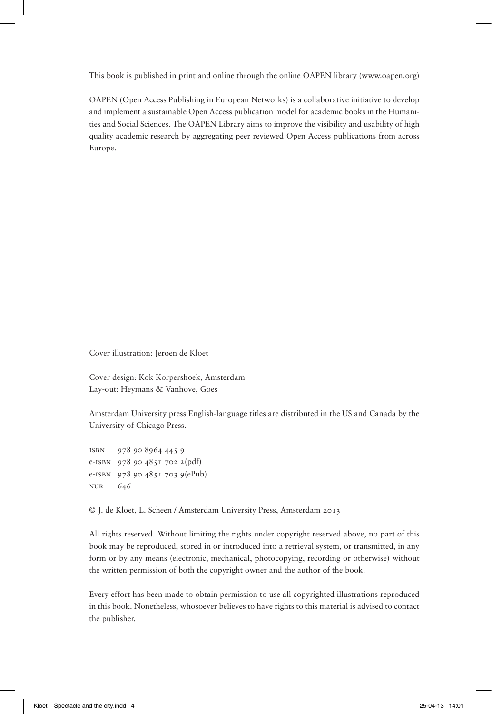This book is published in print and online through the online OAPEN library (www.oapen.org)

OAPEN (Open Access Publishing in European Networks) is a collaborative initiative to develop and implement a sustainable Open Access publication model for academic books in the Humanities and Social Sciences. The OAPEN Library aims to improve the visibility and usability of high quality academic research by aggregating peer reviewed Open Access publications from across Europe.

Cover illustration: Jeroen de Kloet

Cover design: Kok Korpershoek, Amsterdam Lay-out: Heymans & Vanhove, Goes

Amsterdam University press English-language titles are distributed in the US and Canada by the University of Chicago Press.

isbn 978 90 8964 445 9 e-isbn 978 90 4851 702 2(pdf) e-isbn 978 90 4851 703 9(ePub) nur 646

© J. de Kloet, L. Scheen / Amsterdam University Press, Amsterdam 2013

All rights reserved. Without limiting the rights under copyright reserved above, no part of this book may be reproduced, stored in or introduced into a retrieval system, or transmitted, in any form or by any means (electronic, mechanical, photocopying, recording or otherwise) without the written permission of both the copyright owner and the author of the book.

Every effort has been made to obtain permission to use all copyrighted illustrations reproduced in this book. Nonetheless, whosoever believes to have rights to this material is advised to contact the publisher.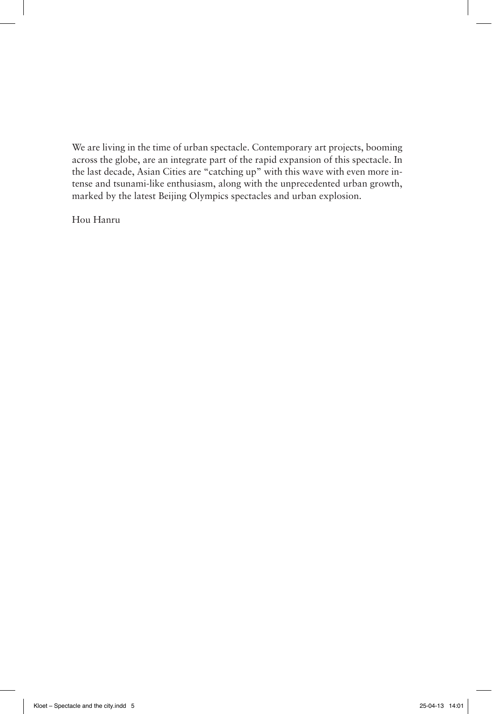We are living in the time of urban spectacle. Contemporary art projects, booming across the globe, are an integrate part of the rapid expansion of this spectacle. In the last decade, Asian Cities are "catching up" with this wave with even more intense and tsunami-like enthusiasm, along with the unprecedented urban growth, marked by the latest Beijing Olympics spectacles and urban explosion.

Hou Hanru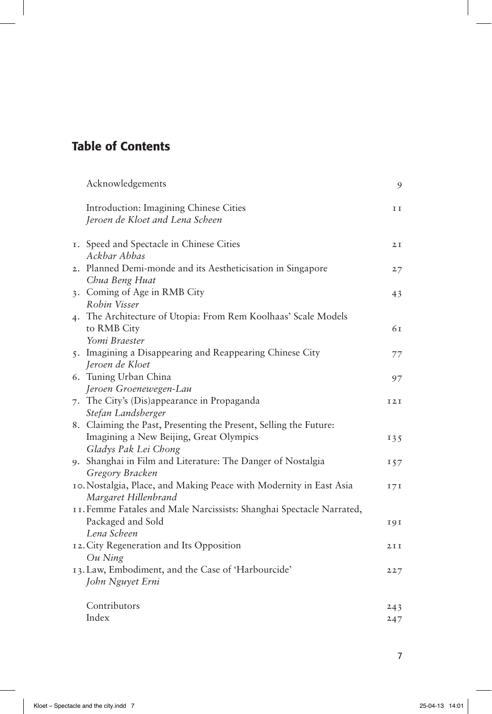# Table of Contents

| Acknowledgements                                                                                                                     | 9          |
|--------------------------------------------------------------------------------------------------------------------------------------|------------|
| Introduction: Imagining Chinese Cities<br>Jeroen de Kloet and Lena Scheen                                                            | ΙI         |
| 1. Speed and Spectacle in Chinese Cities<br>Ackbar Abbas                                                                             | 2I         |
| 2. Planned Demi-monde and its Aestheticisation in Singapore<br>Chua Beng Huat                                                        | 27         |
| 3. Coming of Age in RMB City<br>Robin Visser                                                                                         | 43         |
| 4. The Architecture of Utopia: From Rem Koolhaas' Scale Models<br>to RMB City<br>Yomi Braester                                       | 61         |
| 5. Imagining a Disappearing and Reappearing Chinese City<br>Jeroen de Kloet                                                          | 77         |
| 6. Tuning Urban China<br>Jeroen Groenewegen-Lau                                                                                      | 97         |
| 7. The City's (Dis)appearance in Propaganda<br>Stefan Landsberger                                                                    | 12I        |
| 8. Claiming the Past, Presenting the Present, Selling the Future:<br>Imagining a New Beijing, Great Olympics<br>Gladys Pak Lei Chong | I35        |
| 9. Shanghai in Film and Literature: The Danger of Nostalgia<br>Gregory Bracken                                                       | I57        |
| 10. Nostalgia, Place, and Making Peace with Modernity in East Asia<br>Margaret Hillenbrand                                           | 171        |
| II. Femme Fatales and Male Narcissists: Shanghai Spectacle Narrated,<br>Packaged and Sold<br>Lena Scheen                             | 191        |
| 12. City Regeneration and Its Opposition<br>Ou Ning                                                                                  | 2II        |
| 13. Law, Embodiment, and the Case of 'Harbourcide'<br>John Nguyet Erni                                                               | 227        |
| Contributors<br>Index                                                                                                                | 243<br>247 |
|                                                                                                                                      |            |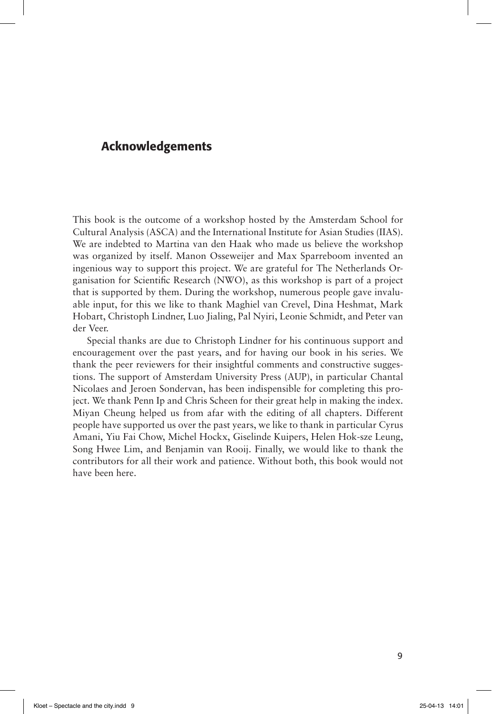# Acknowledgements

This book is the outcome of a workshop hosted by the Amsterdam School for Cultural Analysis (ASCA) and the International Institute for Asian Studies (IIAS). We are indebted to Martina van den Haak who made us believe the workshop was organized by itself. Manon Osseweijer and Max Sparreboom invented an ingenious way to support this project. We are grateful for The Netherlands Organisation for Scientific Research (NWO), as this workshop is part of a project that is supported by them. During the workshop, numerous people gave invaluable input, for this we like to thank Maghiel van Crevel, Dina Heshmat, Mark Hobart, Christoph Lindner, Luo Jialing, Pal Nyiri, Leonie Schmidt, and Peter van der Veer.

Special thanks are due to Christoph Lindner for his continuous support and encouragement over the past years, and for having our book in his series. We thank the peer reviewers for their insightful comments and constructive suggestions. The support of Amsterdam University Press (AUP), in particular Chantal Nicolaes and Jeroen Sondervan, has been indispensible for completing this project. We thank Penn Ip and Chris Scheen for their great help in making the index. Miyan Cheung helped us from afar with the editing of all chapters. Different people have supported us over the past years, we like to thank in particular Cyrus Amani, Yiu Fai Chow, Michel Hockx, Giselinde Kuipers, Helen Hok-sze Leung, Song Hwee Lim, and Benjamin van Rooij. Finally, we would like to thank the contributors for all their work and patience. Without both, this book would not have been here.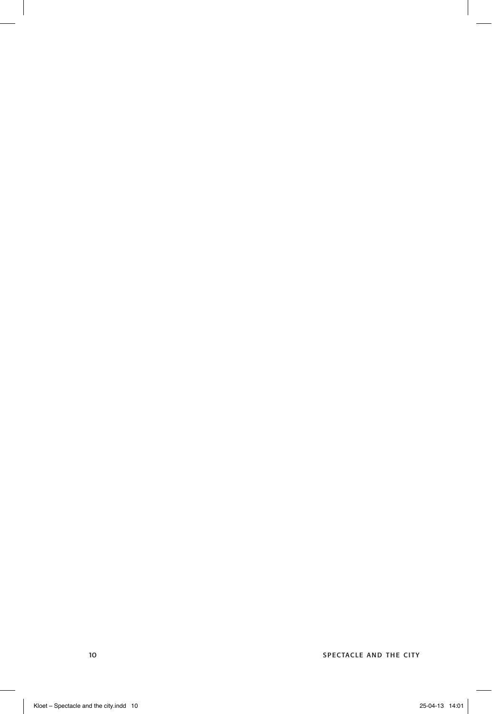$\overline{\phantom{a}}$ 

 $\overline{\phantom{a}}$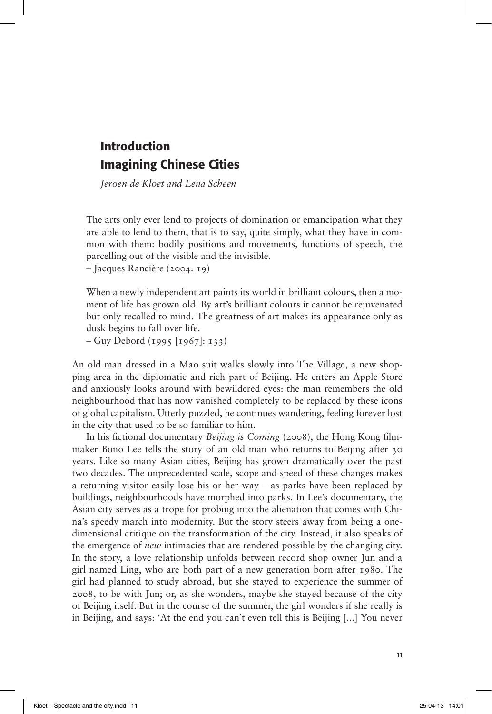# Introduction Imagining Chinese Cities

*Jeroen de Kloet and Lena Scheen*

The arts only ever lend to projects of domination or emancipation what they are able to lend to them, that is to say, quite simply, what they have in common with them: bodily positions and movements, functions of speech, the parcelling out of the visible and the invisible.

– Jacques Rancière (2004: 19)

When a newly independent art paints its world in brilliant colours, then a moment of life has grown old. By art's brilliant colours it cannot be rejuvenated but only recalled to mind. The greatness of art makes its appearance only as dusk begins to fall over life.

– Guy Debord (1995 [1967]: 133)

An old man dressed in a Mao suit walks slowly into The Village, a new shopping area in the diplomatic and rich part of Beijing. He enters an Apple Store and anxiously looks around with bewildered eyes: the man remembers the old neighbourhood that has now vanished completely to be replaced by these icons of global capitalism. Utterly puzzled, he continues wandering, feeling forever lost in the city that used to be so familiar to him.

In his fictional documentary *Beijing is Coming* (2008), the Hong Kong filmmaker Bono Lee tells the story of an old man who returns to Beijing after 30 years. Like so many Asian cities, Beijing has grown dramatically over the past two decades. The unprecedented scale, scope and speed of these changes makes a returning visitor easily lose his or her way – as parks have been replaced by buildings, neighbourhoods have morphed into parks. In Lee's documentary, the Asian city serves as a trope for probing into the alienation that comes with China's speedy march into modernity. But the story steers away from being a onedimensional critique on the transformation of the city. Instead, it also speaks of the emergence of *new* intimacies that are rendered possible by the changing city. In the story, a love relationship unfolds between record shop owner Jun and a girl named Ling, who are both part of a new generation born after 1980. The girl had planned to study abroad, but she stayed to experience the summer of 2008, to be with Jun; or, as she wonders, maybe she stayed because of the city of Beijing itself. But in the course of the summer, the girl wonders if she really is in Beijing, and says: 'At the end you can't even tell this is Beijing [...] You never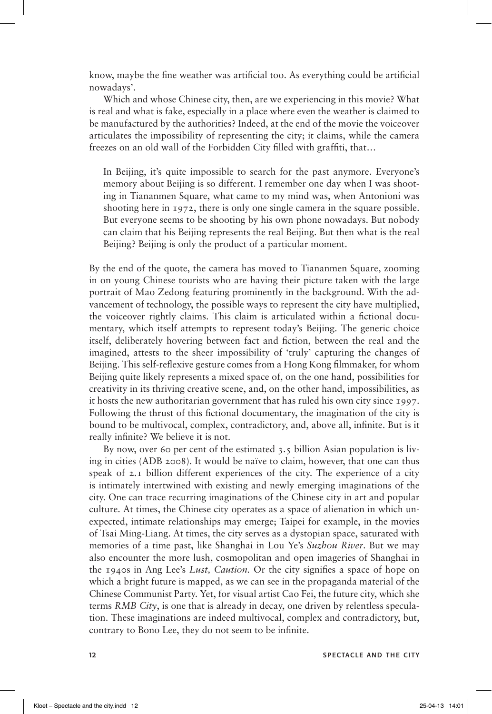know, maybe the fine weather was artificial too. As everything could be artificial nowadays'.

Which and whose Chinese city, then, are we experiencing in this movie? What is real and what is fake, especially in a place where even the weather is claimed to be manufactured by the authorities? Indeed, at the end of the movie the voiceover articulates the impossibility of representing the city; it claims, while the camera freezes on an old wall of the Forbidden City filled with graffiti, that…

In Beijing, it's quite impossible to search for the past anymore. Everyone's memory about Beijing is so different. I remember one day when I was shooting in Tiananmen Square, what came to my mind was, when Antonioni was shooting here in 1972, there is only one single camera in the square possible. But everyone seems to be shooting by his own phone nowadays. But nobody can claim that his Beijing represents the real Beijing. But then what is the real Beijing? Beijing is only the product of a particular moment.

By the end of the quote, the camera has moved to Tiananmen Square, zooming in on young Chinese tourists who are having their picture taken with the large portrait of Mao Zedong featuring prominently in the background. With the advancement of technology, the possible ways to represent the city have multiplied, the voiceover rightly claims. This claim is articulated within a fictional documentary, which itself attempts to represent today's Beijing. The generic choice itself, deliberately hovering between fact and fiction, between the real and the imagined, attests to the sheer impossibility of 'truly' capturing the changes of Beijing. This self-reflexive gesture comes from a Hong Kong filmmaker, for whom Beijing quite likely represents a mixed space of, on the one hand, possibilities for creativity in its thriving creative scene, and, on the other hand, impossibilities, as it hosts the new authoritarian government that has ruled his own city since 1997. Following the thrust of this fictional documentary, the imagination of the city is bound to be multivocal, complex, contradictory, and, above all, infinite. But is it really infinite? We believe it is not.

By now, over 60 per cent of the estimated 3.5 billion Asian population is living in cities (ADB 2008). It would be naïve to claim, however, that one can thus speak of 2.1 billion different experiences of the city. The experience of a city is intimately intertwined with existing and newly emerging imaginations of the city. One can trace recurring imaginations of the Chinese city in art and popular culture. At times, the Chinese city operates as a space of alienation in which unexpected, intimate relationships may emerge; Taipei for example, in the movies of Tsai Ming-Liang. At times, the city serves as a dystopian space, saturated with memories of a time past, like Shanghai in Lou Ye's *Suzhou River*. But we may also encounter the more lush, cosmopolitan and open imageries of Shanghai in the 1940s in Ang Lee's *Lust, Caution.* Or the city signifies a space of hope on which a bright future is mapped, as we can see in the propaganda material of the Chinese Communist Party. Yet, for visual artist Cao Fei, the future city, which she terms *RMB City*, is one that is already in decay, one driven by relentless speculation. These imaginations are indeed multivocal, complex and contradictory, but, contrary to Bono Lee, they do not seem to be infinite.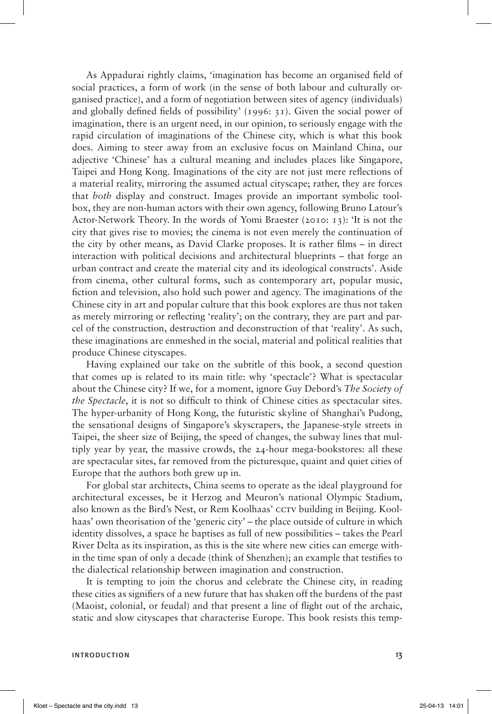As Appadurai rightly claims, 'imagination has become an organised field of social practices, a form of work (in the sense of both labour and culturally organised practice), and a form of negotiation between sites of agency (individuals) and globally defined fields of possibility' (1996: 31). Given the social power of imagination, there is an urgent need, in our opinion, to seriously engage with the rapid circulation of imaginations of the Chinese city, which is what this book does. Aiming to steer away from an exclusive focus on Mainland China, our adjective 'Chinese' has a cultural meaning and includes places like Singapore, Taipei and Hong Kong. Imaginations of the city are not just mere reflections of a material reality, mirroring the assumed actual cityscape; rather, they are forces that *both* display and construct. Images provide an important symbolic toolbox, they are non-human actors with their own agency, following Bruno Latour's Actor-Network Theory. In the words of Yomi Braester (2010: 13): 'It is not the city that gives rise to movies; the cinema is not even merely the continuation of the city by other means, as David Clarke proposes. It is rather films – in direct interaction with political decisions and architectural blueprints – that forge an urban contract and create the material city and its ideological constructs'. Aside from cinema, other cultural forms, such as contemporary art, popular music, fiction and television, also hold such power and agency. The imaginations of the Chinese city in art and popular culture that this book explores are thus not taken as merely mirroring or reflecting 'reality'; on the contrary, they are part and parcel of the construction, destruction and deconstruction of that 'reality'. As such, these imaginations are enmeshed in the social, material and political realities that produce Chinese cityscapes.

Having explained our take on the subtitle of this book, a second question that comes up is related to its main title: why 'spectacle'? What is spectacular about the Chinese city? If we, for a moment, ignore Guy Debord's *The Society of the Spectacle*, it is not so difficult to think of Chinese cities as spectacular sites. The hyper-urbanity of Hong Kong, the futuristic skyline of Shanghai's Pudong, the sensational designs of Singapore's skyscrapers, the Japanese-style streets in Taipei, the sheer size of Beijing, the speed of changes, the subway lines that multiply year by year, the massive crowds, the 24-hour mega-bookstores: all these are spectacular sites, far removed from the picturesque, quaint and quiet cities of Europe that the authors both grew up in.

For global star architects, China seems to operate as the ideal playground for architectural excesses, be it Herzog and Meuron's national Olympic Stadium, also known as the Bird's Nest, or Rem Koolhaas' ccrv building in Beijing. Koolhaas' own theorisation of the 'generic city' – the place outside of culture in which identity dissolves, a space he baptises as full of new possibilities – takes the Pearl River Delta as its inspiration, as this is the site where new cities can emerge within the time span of only a decade (think of Shenzhen); an example that testifies to the dialectical relationship between imagination and construction.

It is tempting to join the chorus and celebrate the Chinese city, in reading these cities as signifiers of a new future that has shaken off the burdens of the past (Maoist, colonial, or feudal) and that present a line of flight out of the archaic, static and slow cityscapes that characterise Europe. This book resists this temp-

#### introduction 13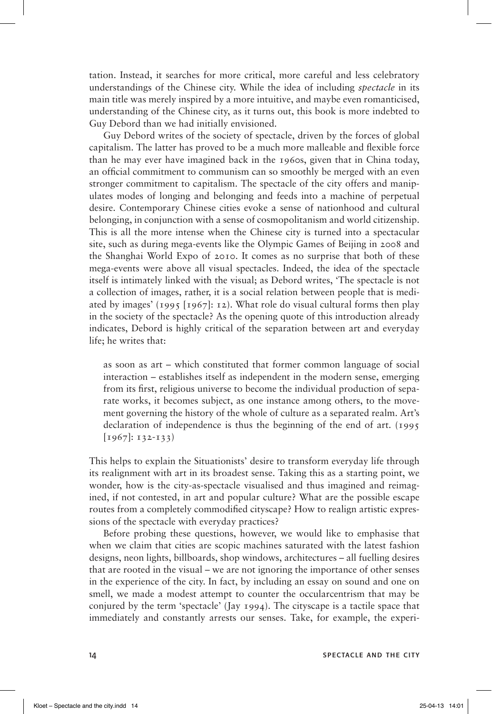tation. Instead, it searches for more critical, more careful and less celebratory understandings of the Chinese city. While the idea of including *spectacle* in its main title was merely inspired by a more intuitive, and maybe even romanticised, understanding of the Chinese city, as it turns out, this book is more indebted to Guy Debord than we had initially envisioned.

Guy Debord writes of the society of spectacle, driven by the forces of global capitalism. The latter has proved to be a much more malleable and flexible force than he may ever have imagined back in the 1960s, given that in China today, an official commitment to communism can so smoothly be merged with an even stronger commitment to capitalism. The spectacle of the city offers and manipulates modes of longing and belonging and feeds into a machine of perpetual desire. Contemporary Chinese cities evoke a sense of nationhood and cultural belonging, in conjunction with a sense of cosmopolitanism and world citizenship. This is all the more intense when the Chinese city is turned into a spectacular site, such as during mega-events like the Olympic Games of Beijing in 2008 and the Shanghai World Expo of 2010. It comes as no surprise that both of these mega-events were above all visual spectacles. Indeed, the idea of the spectacle itself is intimately linked with the visual; as Debord writes, 'The spectacle is not a collection of images, rather, it is a social relation between people that is mediated by images'  $(1995 \mid 1967]: 12)$ . What role do visual cultural forms then play in the society of the spectacle? As the opening quote of this introduction already indicates, Debord is highly critical of the separation between art and everyday life; he writes that:

as soon as art – which constituted that former common language of social interaction – establishes itself as independent in the modern sense, emerging from its first, religious universe to become the individual production of separate works, it becomes subject, as one instance among others, to the movement governing the history of the whole of culture as a separated realm. Art's declaration of independence is thus the beginning of the end of art. (1995  $[1967]: 132-133)$ 

This helps to explain the Situationists' desire to transform everyday life through its realignment with art in its broadest sense. Taking this as a starting point, we wonder, how is the city-as-spectacle visualised and thus imagined and reimagined, if not contested, in art and popular culture? What are the possible escape routes from a completely commodified cityscape? How to realign artistic expressions of the spectacle with everyday practices?

Before probing these questions, however, we would like to emphasise that when we claim that cities are scopic machines saturated with the latest fashion designs, neon lights, billboards, shop windows, architectures – all fuelling desires that are rooted in the visual – we are not ignoring the importance of other senses in the experience of the city. In fact, by including an essay on sound and one on smell, we made a modest attempt to counter the occularcentrism that may be conjured by the term 'spectacle' (Jay 1994). The cityscape is a tactile space that immediately and constantly arrests our senses. Take, for example, the experi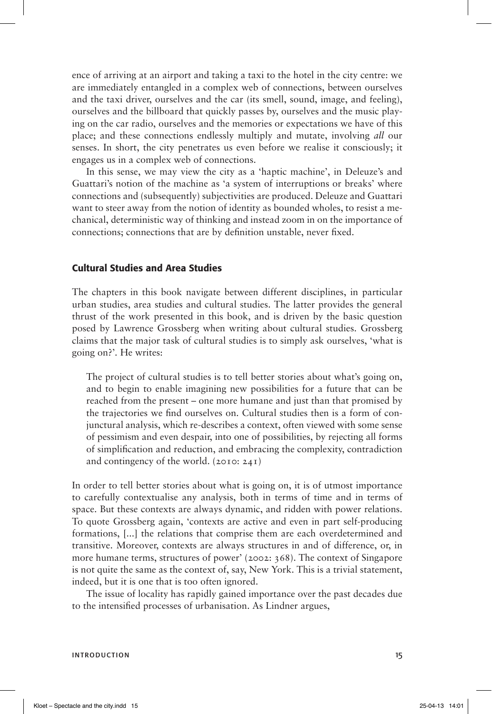ence of arriving at an airport and taking a taxi to the hotel in the city centre: we are immediately entangled in a complex web of connections, between ourselves and the taxi driver, ourselves and the car (its smell, sound, image, and feeling), ourselves and the billboard that quickly passes by, ourselves and the music playing on the car radio, ourselves and the memories or expectations we have of this place; and these connections endlessly multiply and mutate, involving *all* our senses. In short, the city penetrates us even before we realise it consciously; it engages us in a complex web of connections.

In this sense, we may view the city as a 'haptic machine', in Deleuze's and Guattari's notion of the machine as 'a system of interruptions or breaks' where connections and (subsequently) subjectivities are produced. Deleuze and Guattari want to steer away from the notion of identity as bounded wholes, to resist a mechanical, deterministic way of thinking and instead zoom in on the importance of connections; connections that are by definition unstable, never fixed.

# Cultural Studies and Area Studies

The chapters in this book navigate between different disciplines, in particular urban studies, area studies and cultural studies. The latter provides the general thrust of the work presented in this book, and is driven by the basic question posed by Lawrence Grossberg when writing about cultural studies. Grossberg claims that the major task of cultural studies is to simply ask ourselves, 'what is going on?'*.* He writes:

The project of cultural studies is to tell better stories about what's going on, and to begin to enable imagining new possibilities for a future that can be reached from the present – one more humane and just than that promised by the trajectories we find ourselves on. Cultural studies then is a form of conjunctural analysis, which re-describes a context, often viewed with some sense of pessimism and even despair, into one of possibilities, by rejecting all forms of simplification and reduction, and embracing the complexity, contradiction and contingency of the world. (2010: 241)

In order to tell better stories about what is going on, it is of utmost importance to carefully contextualise any analysis, both in terms of time and in terms of space. But these contexts are always dynamic, and ridden with power relations. To quote Grossberg again, 'contexts are active and even in part self-producing formations, [...] the relations that comprise them are each overdetermined and transitive. Moreover, contexts are always structures in and of difference, or, in more humane terms, structures of power' (2002: 368). The context of Singapore is not quite the same as the context of, say, New York. This is a trivial statement, indeed, but it is one that is too often ignored.

The issue of locality has rapidly gained importance over the past decades due to the intensified processes of urbanisation. As Lindner argues,

#### introduction 15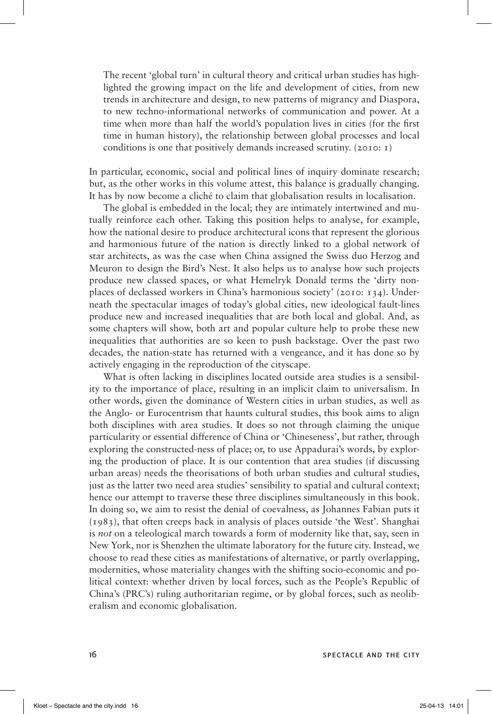The recent 'global turn' in cultural theory and critical urban studies has highlighted the growing impact on the life and development of cities, from new trends in architecture and design, to new patterns of migrancy and Diaspora, to new techno-informational networks of communication and power. At a time when more than half the world's population lives in cities (for the first time in human history), the relationship between global processes and local conditions is one that positively demands increased scrutiny. (2010: 1)

In particular, economic, social and political lines of inquiry dominate research; but, as the other works in this volume attest, this balance is gradually changing. It has by now become a cliché to claim that globalisation results in localisation.

The global is embedded in the local; they are intimately intertwined and mutually reinforce each other. Taking this position helps to analyse, for example, how the national desire to produce architectural icons that represent the glorious and harmonious future of the nation is directly linked to a global network of star architects, as was the case when China assigned the Swiss duo Herzog and Meuron to design the Bird's Nest. It also helps us to analyse how such projects produce new classed spaces, or what Hemelryk Donald terms the 'dirty nonplaces of declassed workers in China's harmonious society' (2010: 134). Underneath the spectacular images of today's global cities, new ideological fault-lines produce new and increased inequalities that are both local and global. And, as some chapters will show, both art and popular culture help to probe these new inequalities that authorities are so keen to push backstage. Over the past two decades, the nation-state has returned with a vengeance, and it has done so by actively engaging in the reproduction of the cityscape.

What is often lacking in disciplines located outside area studies is a sensibility to the importance of place, resulting in an implicit claim to universalism. In other words, given the dominance of Western cities in urban studies, as well as the Anglo- or Eurocentrism that haunts cultural studies, this book aims to align both disciplines with area studies. It does so not through claiming the unique particularity or essential difference of China or 'Chineseness', but rather, through exploring the constructed-ness of place; or, to use Appadurai's words, by exploring the production of place. It is our contention that area studies (if discussing urban areas) needs the theorisations of both urban studies and cultural studies, just as the latter two need area studies' sensibility to spatial and cultural context; hence our attempt to traverse these three disciplines simultaneously in this book. In doing so, we aim to resist the denial of coevalness, as Johannes Fabian puts it (1983), that often creeps back in analysis of places outside 'the West'. Shanghai is *not* on a teleological march towards a form of modernity like that, say, seen in New York, nor is Shenzhen the ultimate laboratory for the future city. Instead, we choose to read these cities as manifestations of alternative, or partly overlapping, modernities, whose materiality changes with the shifting socio-economic and political context: whether driven by local forces, such as the People's Republic of China's (PRC's) ruling authoritarian regime, or by global forces, such as neoliberalism and economic globalisation.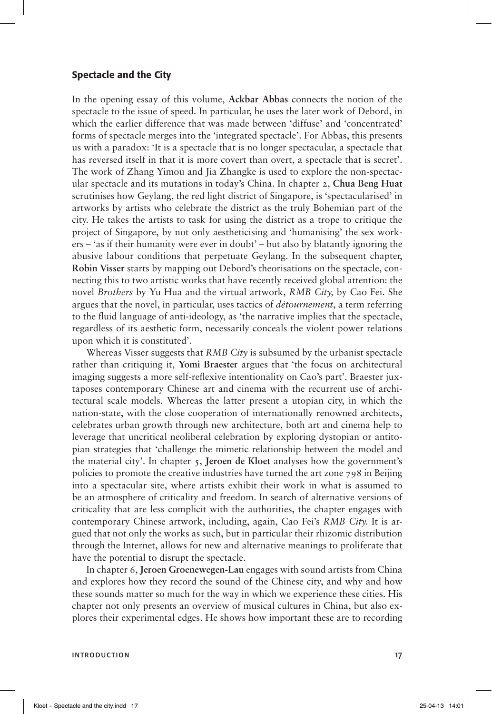## Spectacle and the City

In the opening essay of this volume, **Ackbar Abbas** connects the notion of the spectacle to the issue of speed. In particular, he uses the later work of Debord, in which the earlier difference that was made between 'diffuse' and 'concentrated' forms of spectacle merges into the 'integrated spectacle'. For Abbas, this presents us with a paradox: 'It is a spectacle that is no longer spectacular, a spectacle that has reversed itself in that it is more covert than overt, a spectacle that is secret'. The work of Zhang Yimou and Jia Zhangke is used to explore the non-spectacular spectacle and its mutations in today's China. In chapter 2, **Chua Beng Huat**  scrutinises how Geylang, the red light district of Singapore, is 'spectacularised' in artworks by artists who celebrate the district as the truly Bohemian part of the city. He takes the artists to task for using the district as a trope to critique the project of Singapore, by not only aestheticising and 'humanising' the sex workers – 'as if their humanity were ever in doubt' – but also by blatantly ignoring the abusive labour conditions that perpetuate Geylang. In the subsequent chapter, **Robin Visser** starts by mapping out Debord's theorisations on the spectacle, connecting this to two artistic works that have recently received global attention: the novel *Brothers* by Yu Hua and the virtual artwork, *RMB City,* by Cao Fei. She argues that the novel, in particular, uses tactics of *détournement*, a term referring to the fluid language of anti-ideology, as 'the narrative implies that the spectacle, regardless of its aesthetic form, necessarily conceals the violent power relations upon which it is constituted'.

Whereas Visser suggests that *RMB City* is subsumed by the urbanist spectacle rather than critiquing it, **Yomi Braester** argues that 'the focus on architectural imaging suggests a more self-reflexive intentionality on Cao's part'. Braester juxtaposes contemporary Chinese art and cinema with the recurrent use of architectural scale models. Whereas the latter present a utopian city, in which the nation-state, with the close cooperation of internationally renowned architects, celebrates urban growth through new architecture, both art and cinema help to leverage that uncritical neoliberal celebration by exploring dystopian or antitopian strategies that 'challenge the mimetic relationship between the model and the material city'. In chapter 5, **Jeroen de Kloet** analyses how the government's policies to promote the creative industries have turned the art zone 798 in Beijing into a spectacular site, where artists exhibit their work in what is assumed to be an atmosphere of criticality and freedom. In search of alternative versions of criticality that are less complicit with the authorities, the chapter engages with contemporary Chinese artwork, including, again, Cao Fei's *RMB City.* It is argued that not only the works as such, but in particular their rhizomic distribution through the Internet, allows for new and alternative meanings to proliferate that have the potential to disrupt the spectacle.

In chapter 6, **Jeroen Groenewegen-Lau** engages with sound artists from China and explores how they record the sound of the Chinese city, and why and how these sounds matter so much for the way in which we experience these cities. His chapter not only presents an overview of musical cultures in China, but also explores their experimental edges. He shows how important these are to recording

#### introduction 17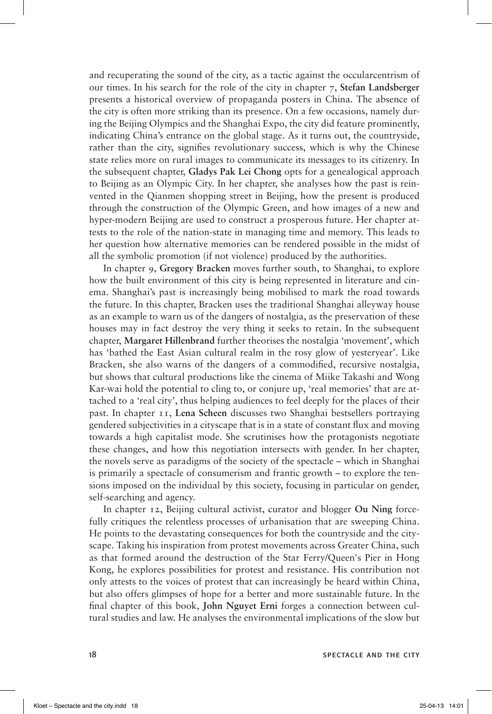and recuperating the sound of the city, as a tactic against the occularcentrism of our times. In his search for the role of the city in chapter 7, **Stefan Landsberger** presents a historical overview of propaganda posters in China. The absence of the city is often more striking than its presence. On a few occasions, namely during the Beijing Olympics and the Shanghai Expo, the city did feature prominently, indicating China's entrance on the global stage. As it turns out, the countryside, rather than the city, signifies revolutionary success, which is why the Chinese state relies more on rural images to communicate its messages to its citizenry. In the subsequent chapter, **Gladys Pak Lei Chong** opts for a genealogical approach to Beijing as an Olympic City. In her chapter, she analyses how the past is reinvented in the Qianmen shopping street in Beijing, how the present is produced through the construction of the Olympic Green, and how images of a new and hyper-modern Beijing are used to construct a prosperous future. Her chapter attests to the role of the nation-state in managing time and memory. This leads to her question how alternative memories can be rendered possible in the midst of all the symbolic promotion (if not violence) produced by the authorities.

In chapter 9, **Gregory Bracken** moves further south, to Shanghai, to explore how the built environment of this city is being represented in literature and cinema. Shanghai's past is increasingly being mobilised to mark the road towards the future. In this chapter, Bracken uses the traditional Shanghai alleyway house as an example to warn us of the dangers of nostalgia, as the preservation of these houses may in fact destroy the very thing it seeks to retain. In the subsequent chapter, **Margaret Hillenbrand** further theorises the nostalgia 'movement', which has 'bathed the East Asian cultural realm in the rosy glow of yesteryear'. Like Bracken, she also warns of the dangers of a commodified, recursive nostalgia, but shows that cultural productions like the cinema of Miike Takashi and Wong Kar-wai hold the potential to cling to, or conjure up, 'real memories' that are attached to a 'real city', thus helping audiences to feel deeply for the places of their past. In chapter 11, **Lena Scheen** discusses two Shanghai bestsellers portraying gendered subjectivities in a cityscape that is in a state of constant flux and moving towards a high capitalist mode. She scrutinises how the protagonists negotiate these changes, and how this negotiation intersects with gender. In her chapter, the novels serve as paradigms of the society of the spectacle – which in Shanghai is primarily a spectacle of consumerism and frantic growth – to explore the tensions imposed on the individual by this society, focusing in particular on gender, self-searching and agency.

In chapter 12, Beijing cultural activist, curator and blogger **Ou Ning** forcefully critiques the relentless processes of urbanisation that are sweeping China. He points to the devastating consequences for both the countryside and the cityscape. Taking his inspiration from protest movements across Greater China, such as that formed around the destruction of the Star Ferry/Queen's Pier in Hong Kong, he explores possibilities for protest and resistance. His contribution not only attests to the voices of protest that can increasingly be heard within China, but also offers glimpses of hope for a better and more sustainable future. In the final chapter of this book, **John Nguyet Erni** forges a connection between cultural studies and law. He analyses the environmental implications of the slow but